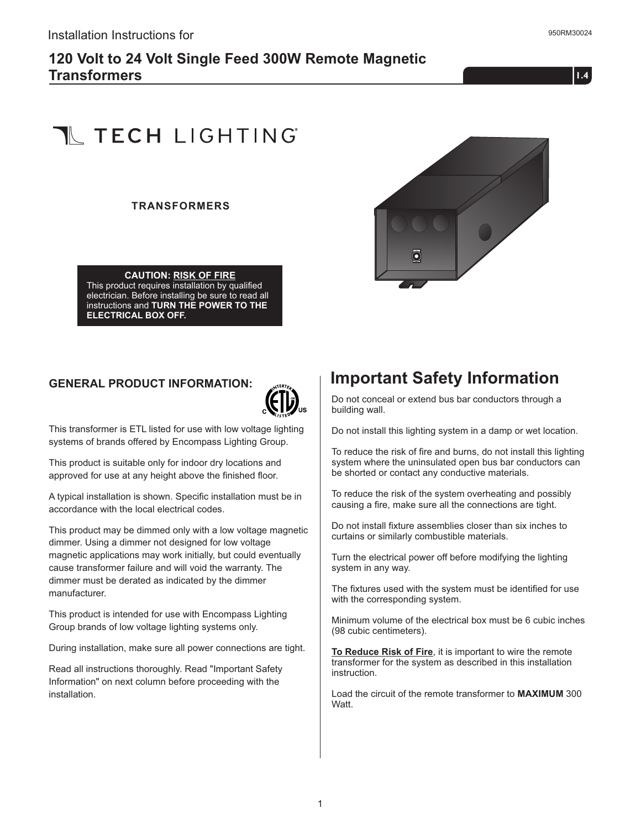#### **120 Volt to 24 Volt Single Feed 300W Remote Magnetic Transformers**

 $1.4$ 

# **T** TECH LIGHTING

#### **TRANSFORMERS**



**CAUTION: RISK OF FIRE** This product requires installation by qualified electrician. Before installing be sure to read all instructions and **TURN THE POWER TO THE ELECTRICAL BOX OFF.**

#### **GENERAL PRODUCT INFORMATION:**



This transformer is ETL listed for use with low voltage lighting systems of brands offered by Encompass Lighting Group.

This product is suitable only for indoor dry locations and approved for use at any height above the finished floor.

A typical installation is shown. Specific installation must be in accordance with the local electrical codes.

This product may be dimmed only with a low voltage magnetic dimmer. Using a dimmer not designed for low voltage magnetic applications may work initially, but could eventually cause transformer failure and will void the warranty. The dimmer must be derated as indicated by the dimmer manufacturer.

This product is intended for use with Encompass Lighting Group brands of low voltage lighting systems only.

During installation, make sure all power connections are tight.

Read all instructions thoroughly. Read "Important Safety Information" on next column before proceeding with the installation.

## **Important Safety Information**

Do not conceal or extend bus bar conductors through a building wall.

Do not install this lighting system in a damp or wet location.

To reduce the risk of fire and burns, do not install this lighting system where the uninsulated open bus bar conductors can be shorted or contact any conductive materials.

To reduce the risk of the system overheating and possibly causing a fire, make sure all the connections are tight.

Do not install fixture assemblies closer than six inches to curtains or similarly combustible materials.

Turn the electrical power off before modifying the lighting system in any way.

The fixtures used with the system must be identified for use with the corresponding system.

Minimum volume of the electrical box must be 6 cubic inches (98 cubic centimeters).

**To Reduce Risk of Fire**, it is important to wire the remote transformer for the system as described in this installation instruction.

Load the circuit of the remote transformer to **MAXIMUM** 300 Watt.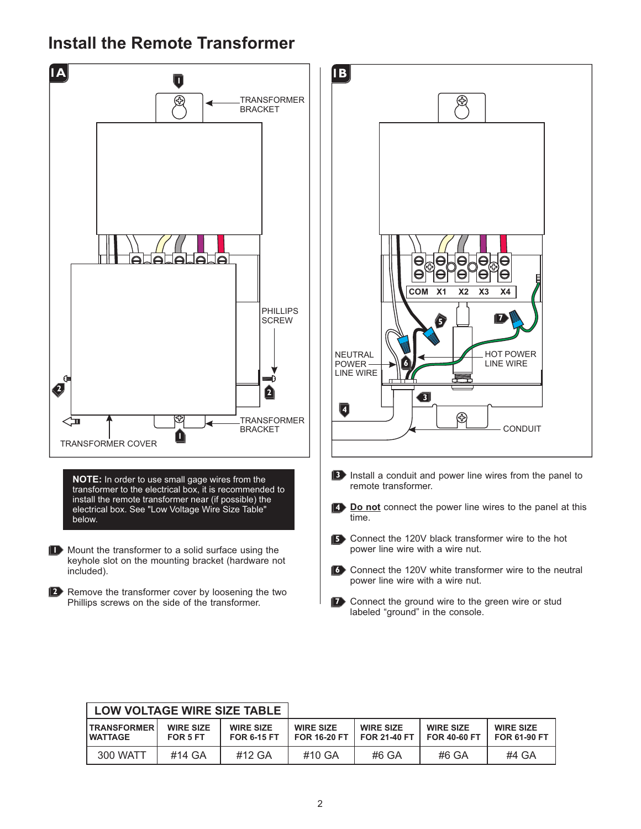### **Install the Remote Transformer**



| <b>LOW VOLTAGE WIRE SIZE TABLE</b>   |                              |                                        |                                         |                                         |                                         |                                         |
|--------------------------------------|------------------------------|----------------------------------------|-----------------------------------------|-----------------------------------------|-----------------------------------------|-----------------------------------------|
| <b>TRANSFORMER</b><br><b>WATTAGE</b> | <b>WIRE SIZE</b><br>FOR 5 FT | <b>WIRE SIZE</b><br><b>FOR 6-15 FT</b> | <b>WIRE SIZE</b><br><b>FOR 16-20 FT</b> | <b>WIRE SIZE</b><br><b>FOR 21-40 FT</b> | <b>WIRE SIZE</b><br><b>FOR 40-60 FT</b> | <b>WIRE SIZE</b><br><b>FOR 61-90 FT</b> |
| 300 WATT                             | #14 GA                       | #12 GA                                 | #10 GA                                  | #6 GA                                   | #6 GA                                   | #4 GA                                   |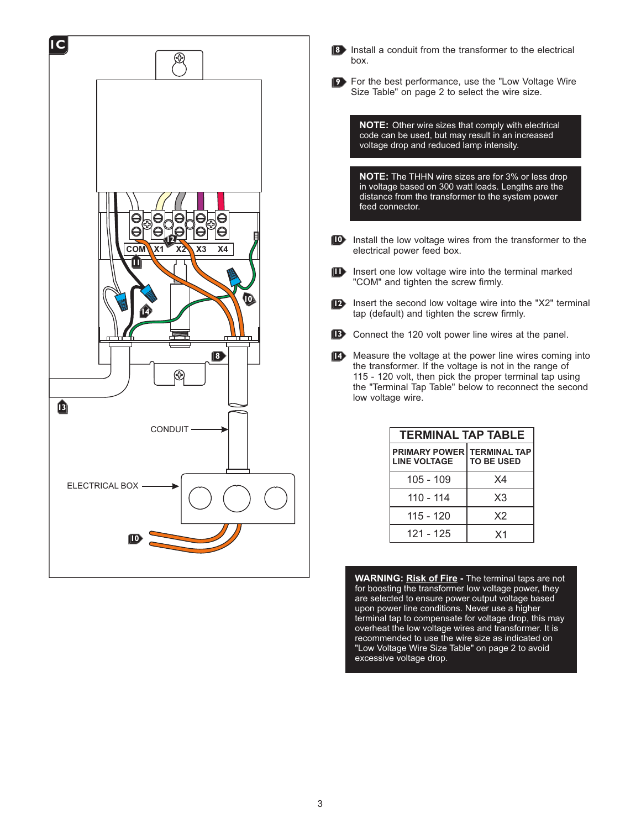



For the best performance, use the "Low Voltage Wire **9** Size Table" on page 2 to select the wire size.

**NOTE:** Other wire sizes that comply with electrical code can be used, but may result in an increased voltage drop and reduced lamp intensity.

**NOTE:** The THHN wire sizes are for 3% or less drop in voltage based on 300 watt loads. Lengths are the distance from the transformer to the system power feed connector.

- **ID** Install the low voltage wires from the transformer to the electrical power feed box.
- Insert one low voltage wire into the terminal marked "COM" and tighten the screw firmly. **11**
- **12** Insert the second low voltage wire into the "X2" terminal tap (default) and tighten the screw firmly.
- Connect the 120 volt power line wires at the panel. **13**
- Measure the voltage at the power line wires coming into **14** the transformer. If the voltage is not in the range of 115 - 120 volt, then pick the proper terminal tap using the "Terminal Tap Table" below to reconnect the second low voltage wire.

| <b>TERMINAL TAP TABLE</b>                           |                   |  |  |  |  |
|-----------------------------------------------------|-------------------|--|--|--|--|
| PRIMARY POWER   TERMINAL TAP<br><b>LINE VOLTAGE</b> | <b>TO BE USED</b> |  |  |  |  |
| 105 - 109                                           | Χ4                |  |  |  |  |
| 110 - 114                                           | X3                |  |  |  |  |
| 115 - 120                                           | X2                |  |  |  |  |
| 121 - 125                                           | X <sub>1</sub>    |  |  |  |  |

**WARNING: Risk of Fire** - The terminal taps are not for boosting the transformer low voltage power, they are selected to ensure power output voltage based upon power line conditions. Never use a higher terminal tap to compensate for voltage drop, this may overheat the low voltage wires and transformer. It is recommended to use the wire size as indicated on "Low Voltage Wire Size Table" on page 2 to avoid excessive voltage drop.